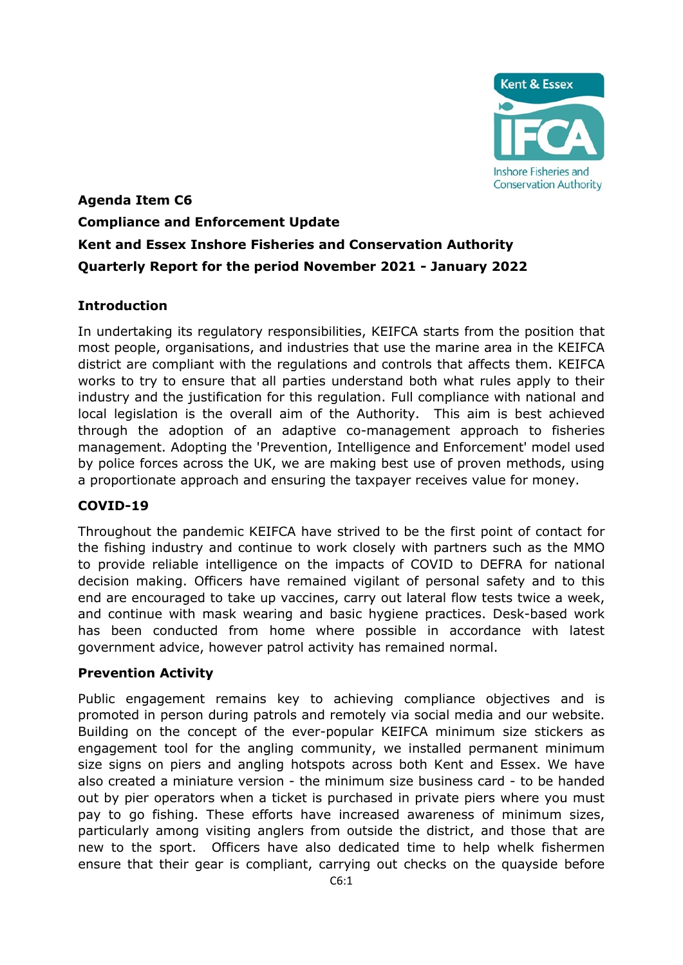

# **Agenda Item C6 Compliance and Enforcement Update Kent and Essex Inshore Fisheries and Conservation Authority Quarterly Report for the period November 2021 - January 2022**

## **Introduction**

In undertaking its regulatory responsibilities, KEIFCA starts from the position that most people, organisations, and industries that use the marine area in the KEIFCA district are compliant with the regulations and controls that affects them. KEIFCA works to try to ensure that all parties understand both what rules apply to their industry and the justification for this regulation. Full compliance with national and local legislation is the overall aim of the Authority. This aim is best achieved through the adoption of an adaptive co-management approach to fisheries management. Adopting the 'Prevention, Intelligence and Enforcement' model used by police forces across the UK, we are making best use of proven methods, using a proportionate approach and ensuring the taxpayer receives value for money.

#### **COVID-19**

Throughout the pandemic KEIFCA have strived to be the first point of contact for the fishing industry and continue to work closely with partners such as the MMO to provide reliable intelligence on the impacts of COVID to DEFRA for national decision making. Officers have remained vigilant of personal safety and to this end are encouraged to take up vaccines, carry out lateral flow tests twice a week, and continue with mask wearing and basic hygiene practices. Desk-based work has been conducted from home where possible in accordance with latest government advice, however patrol activity has remained normal.

#### **Prevention Activity**

Public engagement remains key to achieving compliance objectives and is promoted in person during patrols and remotely via social media and our website. Building on the concept of the ever-popular KEIFCA minimum size stickers as engagement tool for the angling community, we installed permanent minimum size signs on piers and angling hotspots across both Kent and Essex. We have also created a miniature version - the minimum size business card - to be handed out by pier operators when a ticket is purchased in private piers where you must pay to go fishing. These efforts have increased awareness of minimum sizes, particularly among visiting anglers from outside the district, and those that are new to the sport. Officers have also dedicated time to help whelk fishermen ensure that their gear is compliant, carrying out checks on the quayside before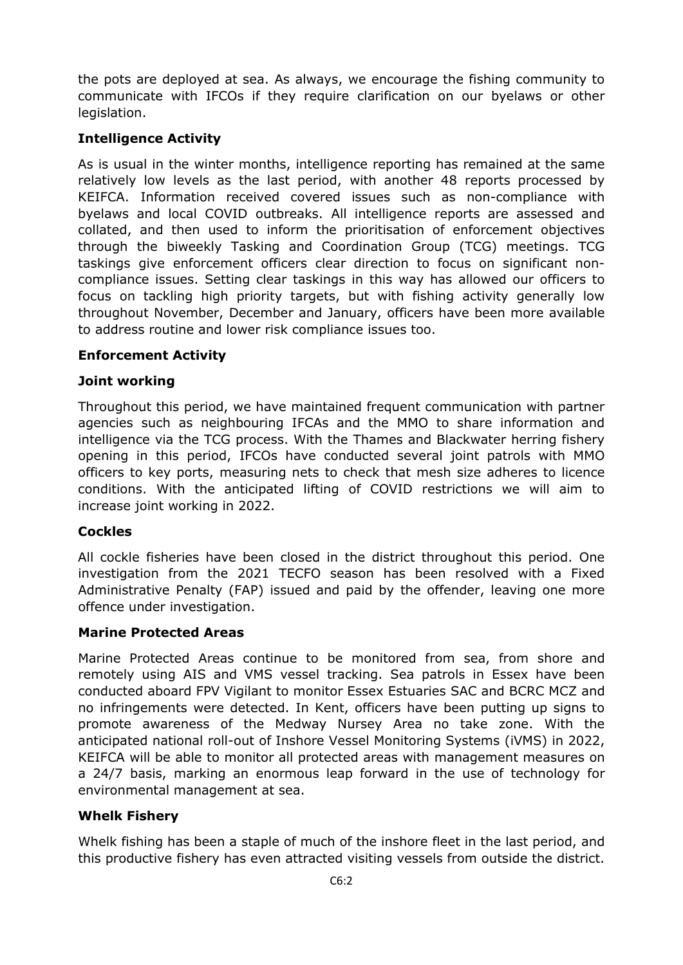the pots are deployed at sea. As always, we encourage the fishing community to communicate with IFCOs if they require clarification on our byelaws or other legislation.

### **Intelligence Activity**

As is usual in the winter months, intelligence reporting has remained at the same relatively low levels as the last period, with another 48 reports processed by KEIFCA. Information received covered issues such as non-compliance with byelaws and local COVID outbreaks. All intelligence reports are assessed and collated, and then used to inform the prioritisation of enforcement objectives through the biweekly Tasking and Coordination Group (TCG) meetings. TCG taskings give enforcement officers clear direction to focus on significant noncompliance issues. Setting clear taskings in this way has allowed our officers to focus on tackling high priority targets, but with fishing activity generally low throughout November, December and January, officers have been more available to address routine and lower risk compliance issues too.

#### **Enforcement Activity**

#### **Joint working**

Throughout this period, we have maintained frequent communication with partner agencies such as neighbouring IFCAs and the MMO to share information and intelligence via the TCG process. With the Thames and Blackwater herring fishery opening in this period, IFCOs have conducted several joint patrols with MMO officers to key ports, measuring nets to check that mesh size adheres to licence conditions. With the anticipated lifting of COVID restrictions we will aim to increase joint working in 2022.

#### **Cockles**

All cockle fisheries have been closed in the district throughout this period. One investigation from the 2021 TECFO season has been resolved with a Fixed Administrative Penalty (FAP) issued and paid by the offender, leaving one more offence under investigation.

#### **Marine Protected Areas**

Marine Protected Areas continue to be monitored from sea, from shore and remotely using AIS and VMS vessel tracking. Sea patrols in Essex have been conducted aboard FPV Vigilant to monitor Essex Estuaries SAC and BCRC MCZ and no infringements were detected. In Kent, officers have been putting up signs to promote awareness of the Medway Nursey Area no take zone. With the anticipated national roll-out of Inshore Vessel Monitoring Systems (iVMS) in 2022, KEIFCA will be able to monitor all protected areas with management measures on a 24/7 basis, marking an enormous leap forward in the use of technology for environmental management at sea.

#### **Whelk Fishery**

Whelk fishing has been a staple of much of the inshore fleet in the last period, and this productive fishery has even attracted visiting vessels from outside the district.